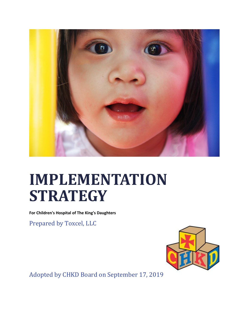

# **IMPLEMENTATION STRATEGY**

**For Children's Hospital of The King's Daughters**

Prepared by Toxcel, LLC



Adopted by CHKD Board on September 17, 2019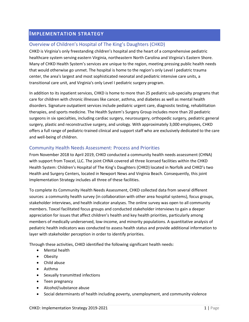## **IMPLEMENTATION STRATEGY**

## Overview of Children's Hospital of The King's Daughters (CHKD)

CHKD is Virginia's only freestanding children's hospital and the heart of a comprehensive pediatric healthcare system serving eastern Virginia, northeastern North Carolina and Virginia's Eastern Shore. Many of CHKD Health System's services are unique to the region, meeting pressing public health needs that would otherwise go unmet. The hospital is home to the region's only Level I pediatric trauma center, the area's largest and most sophisticated neonatal and pediatric intensive care units, a transitional care unit, and Virginia's only Level I pediatric surgery program.

In addition to its inpatient services, CHKD is home to more than 25 pediatric sub-specialty programs that care for children with chronic illnesses like cancer, asthma, and diabetes as well as mental health disorders. Signature outpatient services include pediatric urgent care, diagnostic testing, rehabilitation therapies, and sports medicine. The Health System's Surgery Group includes more than 20 pediatric surgeons in six specialties, including cardiac surgery, neurosurgery, orthopedic surgery, pediatric general surgery, plastic and reconstructive surgery, and urology. With approximately 3,000 employees, CHKD offers a full range of pediatric-trained clinical and support staff who are exclusively dedicated to the care and well-being of children.

## Community Health Needs Assessment: Process and Priorities

From November 2018 to April 2019, CHKD conducted a community health needs assessment (CHNA) with support from Toxcel, LLC. The joint CHNA covered all three licensed facilities within the CHKD Health System: Children's Hospital of The King's Daughters (CHKD) located in Norfolk and CHKD's two Health and Surgery Centers, located in Newport News and Virginia Beach. Consequently, this joint Implementation Strategy includes all three of these facilities.

To complete its Community Health Needs Assessment, CHKD collected data from several different sources: a community health survey (in collaboration with other area hospital systems), focus groups, stakeholder interviews, and health indicator analyses. The online survey was open to all community members. Toxcel facilitated focus groups and conducted stakeholder interviews to gain a deeper appreciation for issues that affect children's health and key health priorities, particularly among members of medically underserved, low-income, and minority populations. A quantitative analysis of pediatric health indicators was conducted to assess health status and provide additional information to layer with stakeholder perception in order to identify priorities.

Through these activities, CHKD identified the following significant health needs:

- Mental health
- Obesity
- Child abuse
- Asthma
- Sexually transmitted infections
- Teen pregnancy
- Alcohol/substance abuse
- Social determinants of health including poverty, unemployment, and community violence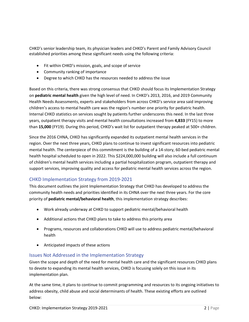CHKD's senior leadership team, its physician leaders and CHKD's Parent and Family Advisory Council established priorities among these significant needs using the following criteria:

- Fit within CHKD's mission, goals, and scope of service
- Community ranking of importance
- Degree to which CHKD has the resources needed to address the issue

Based on this criteria, there was strong consensus that CHKD should focus its Implementation Strategy on **pediatric mental health** given the high level of need. In CHKD's 2013, 2016, and 2019 Community Health Needs Assessments, experts and stakeholders from across CHKD's service area said improving children's access to mental health care was the region's number one priority for pediatric health. Internal CHKD statistics on services sought by patients further underscores this need. In the last three years, outpatient therapy visits and mental health consultations increased from **4,833** (FY15) to more than **15,000** (FY19). During this period, CHKD's wait list for outpatient therapy peaked at 500+ children.

Since the 2016 CHNA, CHKD has significantly expanded its outpatient mental health services in the region. Over the next three years, CHKD plans to continue to invest significant resources into pediatric mental health. The centerpiece of this commitment is the building of a 14-story, 60-bed pediatric mental health hospital scheduled to open in 2022. This \$224,000,000 building will also include a full continuum of children's mental health services including a partial hospitalization program, outpatient therapy and support services, improving quality and access for pediatric mental health services across the region.

## CHKD Implementation Strategy from 2019-2021

This document outlines the joint Implementation Strategy that CHKD has developed to address the community health needs and priorities identified in its CHNA over the next three years. For the core priority of **pediatric mental/behavioral health**, this implementation strategy describes:

- Work already underway at CHKD to support pediatric mental/behavioral health
- Additional actions that CHKD plans to take to address this priority area
- Programs, resources and collaborations CHKD will use to address pediatric mental/behavioral health
- Anticipated impacts of these actions

## Issues Not Addressed in the Implementation Strategy

Given the scope and depth of the need for mental health care and the significant resources CHKD plans to devote to expanding its mental health services, CHKD is focusing solely on this issue in its implementation plan.

At the same time, it plans to continue to commit programming and resources to its ongoing initiatives to address obesity, child abuse and social determinants of health. These existing efforts are outlined below: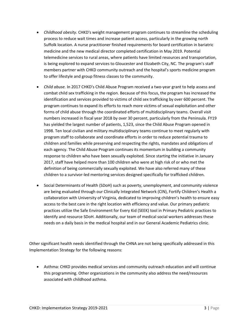- *Childhood obesity.* CHKD's weight management program continues to streamline the scheduling process to reduce wait times and increase patient access, particularly in the growing north Suffolk location. A nurse practitioner finished requirements for board certification in bariatric medicine and the new medical director completed certification in May 2019. Potential telemedicine services to rural areas, where patients have limited resources and transportation, is being explored to expand services to Gloucester and Elizabeth City, NC. The program's staff members partner with CHKD community outreach and the hospital's sports medicine program to offer lifestyle and group fitness classes to the community.
- *Child abuse.* In 2017 CHKD's Child Abuse Program received a two-year grant to help assess and combat child sex trafficking in the region. Because of this focus, the program has increased the identification and services provided to victims of child sex trafficking by over 600 percent. The program continues to expand its efforts to reach more victims of sexual exploitation and other forms of child abuse through the coordinated efforts of multidisciplinary teams. Overall visit numbers increased in fiscal year 2018 by over 30 percent, particularly from the Peninsula. FY19 has yielded the largest number of patients, 1,523, since the Child Abuse Program opened in 1998. Ten local civilian and military multidisciplinary teams continue to meet regularly with program staff to collaborate and coordinate efforts in order to reduce potential trauma to children and families while preserving and respecting the rights, mandates and obligations of each agency. The Child Abuse Program continues its momentum in building a community response to children who have been sexually exploited. Since starting the initiative in January 2017, staff have helped more than 100 children who were at high risk of or who met the definition of being commercially sexually exploited. We have also referred many of these children to a survivor-led mentoring services designed specifically for trafficked children.
- Social Determinants of Health (SDoH) such as poverty, unemployment, and community violence are being evaluated through our Clinically Integrated Network (CIN), Fortify Children's Health a collaboration with University of Virginia, dedicated to improving children's health to ensure easy access to the best care in the right location with efficiency and value. Our primary pediatric practices utilize the Safe Environment for Every Kid (SEEK) tool in Primary Pediatric practices to identify and resource SDoH. Additionally, our team of medical social workers addresses these needs on a daily basis in the medical hospital and in our General Academic Pediatrics clinic.

Other significant health needs identified through the CHNA are not being specifically addressed in this Implementation Strategy for the following reasons:

 Asthma: CHKD provides medical services and community outreach education and will continue this programming. Other organizations in the community also address the need/resources associated with childhood asthma.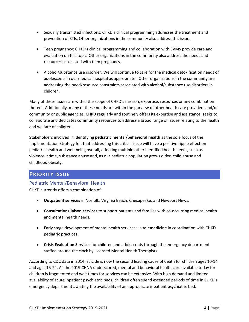- Sexually transmitted infections: CHKD's clinical programming addresses the treatment and prevention of STIs. Other organizations in the community also address this issue.
- Teen pregnancy: CHKD's clinical programming and collaboration with EVMS provide care and evaluation on this topic. Other organizations in the community also address the needs and resources associated with teen pregnancy.
- Alcohol/substance use disorder: We will continue to care for the medical detoxification needs of adolescents in our medical hospital as appropriate. Other organizations in the community are addressing the need/resource constraints associated with alcohol/substance use disorders in children.

Many of these issues are within the scope of CHKD's mission, expertise, resources or any combination thereof. Additionally, many of these needs are within the purview of other health care providers and/or community or public agencies. CHKD regularly and routinely offers its expertise and assistance, seeks to collaborate and dedicates community resources to address a broad range of issues relating to the health and welfare of children.

Stakeholders involved in identifying **pediatric mental/behavioral health** as the sole focus of the Implementation Strategy felt that addressing this critical issue will have a positive ripple effect on pediatric health and well-being overall, affecting multiple other identified health needs, such as violence, crime, substance abuse and, as our pediatric population grows older, child abuse and childhood obesity.

## **PRIORITY ISSUE**

## Pediatric Mental/Behavioral Health

CHKD currently offers a combination of:

- **Outpatient services** in Norfolk, Virginia Beach, Chesapeake, and Newport News.
- **Consultation/liaison services** to support patients and families with co-occurring medical health and mental health needs.
- Early stage development of mental health services via **telemedicine** in coordination with CHKD pediatric practices.
- **Crisis Evaluation Services** for children and adolescents through the emergency department staffed around the clock by Licensed Mental Health Therapists.

According to CDC data in 2014, suicide is now the second leading cause of death for children ages 10-14 and ages 15-24. As the 2019 CHNA underscored, mental and behavioral health care available today for children is fragmented and wait times for services can be extensive. With high demand and limited availability of acute inpatient psychiatric beds, children often spend extended periods of time in CHKD's emergency department awaiting the availability of an appropriate inpatient psychiatric bed.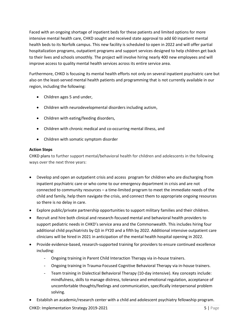Faced with an ongoing shortage of inpatient beds for these patients and limited options for more intensive mental health care, CHKD sought and received state approval to add 60 inpatient mental health beds to its Norfolk campus. This new facility is scheduled to open in 2022 and will offer partial hospitalization programs, outpatient programs and support services designed to help children get back to their lives and schools smoothly. The project will involve hiring nearly 400 new employees and will improve access to quality mental health services across its entire service area.

Furthermore, CHKD is focusing its mental health efforts not only on several inpatient psychiatric care but also on the least-served mental health patients and programming that is not currently available in our region, including the following:

- Children ages 5 and under,
- Children with neurodevelopmental disorders including autism,
- Children with eating/feeding disorders,
- Children with chronic medical and co-occurring mental illness, and
- Children with somatic symptom disorder

## **Action Steps**

CHKD plans to further support mental/behavioral health for children and adolescents in the following ways over the next three years:

- Develop and open an outpatient crisis and access program for children who are discharging from inpatient psychiatric care or who come to our emergency department in crisis and are not connected to community resources – a time-limited program to meet the immediate needs of the child and family, help them navigate the crisis, and connect them to appropriate ongoing resources so there is no delay in care.
- Explore public/private partnership opportunities to support military families and their children.
- Recruit and hire both clinical and research-focused mental and behavioral health providers to support pediatric needs in CHKD's service area and the Commonwealth. This includes hiring four additional child psychiatrists by Q3 in FY20 and a fifth by 2022. Additional intensive outpatient care clinicians will be hired in 2021 in anticipation of the mental health hospital opening in 2022.
- Provide evidence-based, research-supported training for providers to ensure continued excellence including:
	- Ongoing training in Parent Child Interaction Therapy via in-house trainers.
	- Ongoing training in Trauma-Focused Cognitive Behavioral Therapy via in-house trainers.
	- Team training in Dialectical Behavioral Therapy (10-day intensive). Key concepts include: mindfulness, skills to manage distress, tolerance and emotional regulation, acceptance of uncomfortable thoughts/feelings and communication, specifically interpersonal problem solving.
- Establish an academic/research center with a child and adolescent psychiatry fellowship program.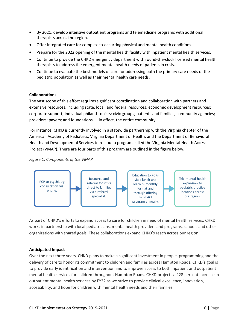- By 2021, develop intensive outpatient programs and telemedicine programs with additional therapists across the region.
- Offer integrated care for complex co-occurring physical and mental health conditions.
- Prepare for the 2022 opening of the mental health facility with inpatient mental health services.
- Continue to provide the CHKD emergency department with round-the-clock licensed mental health therapists to address the emergent mental health needs of patients in crisis.
- Continue to evaluate the best models of care for addressing both the primary care needs of the pediatric population as well as their mental health care needs.

#### **Collaborations**

The vast scope of this effort requires significant coordination and collaboration with partners and extensive resources, including state, local, and federal resources; economic development resources; corporate support; individual philanthropists; civic groups; patients and families; community agencies; providers; payers; and foundations — in effect, the entire community.

For instance, CHKD is currently involved in a statewide partnership with the Virginia chapter of the American Academy of Pediatrics, Virginia Department of Health, and the Department of Behavioral Health and Developmental Services to roll out a program called the Virginia Mental Health Access Project (VMAP). There are four parts of this program are outlined in the figure below.

#### *Figure 1: Components of the VMAP*



As part of CHKD's efforts to expand access to care for children in need of mental health services, CHKD works in partnership with local pediatricians, mental health providers and programs, schools and other organizations with shared goals. These collaborations expand CHKD's reach across our region.

#### **Anticipated Impact**

Over the next three years, CHKD plans to make a significant investment in people, programming and the delivery of care to honor its commitment to children and families across Hampton Roads. CHKD's goal is to provide early identification and intervention and to improve access to both inpatient and outpatient mental health services for children throughout Hampton Roads. CHKD projects a 228 percent increase in outpatient mental health services by FY22 as we strive to provide clinical excellence, innovation, accessibility, and hope for children with mental health needs and their families.